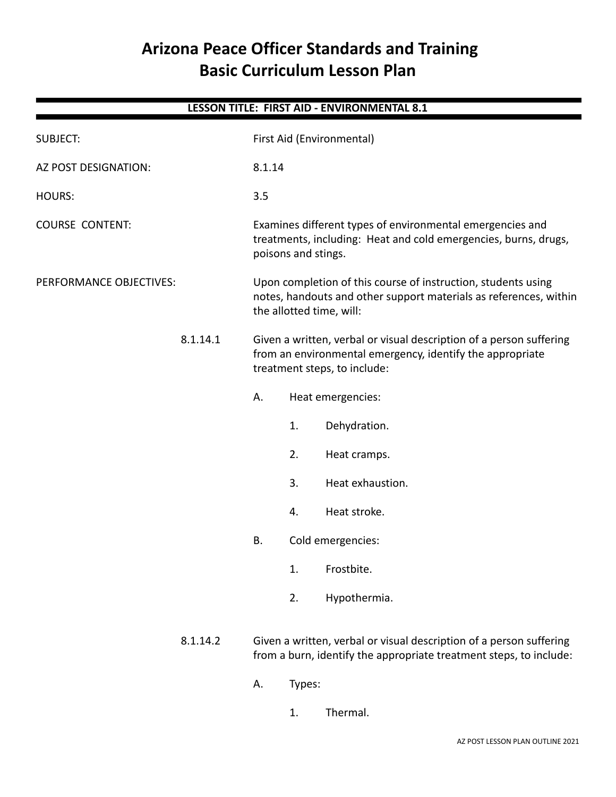# **Arizona Peace Officer Standards and Training Basic Curriculum Lesson Plan**

| LESSON TITLE: FIRST AID - ENVIRONMENTAL 8.1 |          |                                                                                                                                                                  |                                                                                                                                                     |                  |  |  |  |
|---------------------------------------------|----------|------------------------------------------------------------------------------------------------------------------------------------------------------------------|-----------------------------------------------------------------------------------------------------------------------------------------------------|------------------|--|--|--|
| <b>SUBJECT:</b>                             |          | First Aid (Environmental)                                                                                                                                        |                                                                                                                                                     |                  |  |  |  |
| AZ POST DESIGNATION:                        |          | 8.1.14                                                                                                                                                           |                                                                                                                                                     |                  |  |  |  |
| <b>HOURS:</b>                               |          | 3.5                                                                                                                                                              |                                                                                                                                                     |                  |  |  |  |
| <b>COURSE CONTENT:</b>                      |          |                                                                                                                                                                  | Examines different types of environmental emergencies and<br>treatments, including: Heat and cold emergencies, burns, drugs,<br>poisons and stings. |                  |  |  |  |
| PERFORMANCE OBJECTIVES:                     |          | Upon completion of this course of instruction, students using<br>notes, handouts and other support materials as references, within<br>the allotted time, will:   |                                                                                                                                                     |                  |  |  |  |
|                                             | 8.1.14.1 | Given a written, verbal or visual description of a person suffering<br>from an environmental emergency, identify the appropriate<br>treatment steps, to include: |                                                                                                                                                     |                  |  |  |  |
|                                             |          | А.<br>Heat emergencies:                                                                                                                                          |                                                                                                                                                     |                  |  |  |  |
|                                             |          |                                                                                                                                                                  | 1.                                                                                                                                                  | Dehydration.     |  |  |  |
|                                             |          |                                                                                                                                                                  | 2.                                                                                                                                                  | Heat cramps.     |  |  |  |
|                                             |          |                                                                                                                                                                  | 3.                                                                                                                                                  | Heat exhaustion. |  |  |  |
|                                             |          |                                                                                                                                                                  | 4.                                                                                                                                                  | Heat stroke.     |  |  |  |
|                                             |          | Cold emergencies:<br>Β.                                                                                                                                          |                                                                                                                                                     |                  |  |  |  |
|                                             |          |                                                                                                                                                                  | 1.                                                                                                                                                  | Frostbite.       |  |  |  |
|                                             |          |                                                                                                                                                                  | 2.                                                                                                                                                  | Hypothermia.     |  |  |  |
|                                             | 8.1.14.2 | Given a written, verbal or visual description of a person suffering<br>from a burn, identify the appropriate treatment steps, to include:                        |                                                                                                                                                     |                  |  |  |  |
|                                             |          | Types:<br>Α.                                                                                                                                                     |                                                                                                                                                     |                  |  |  |  |
|                                             |          |                                                                                                                                                                  | 1.                                                                                                                                                  | Thermal.         |  |  |  |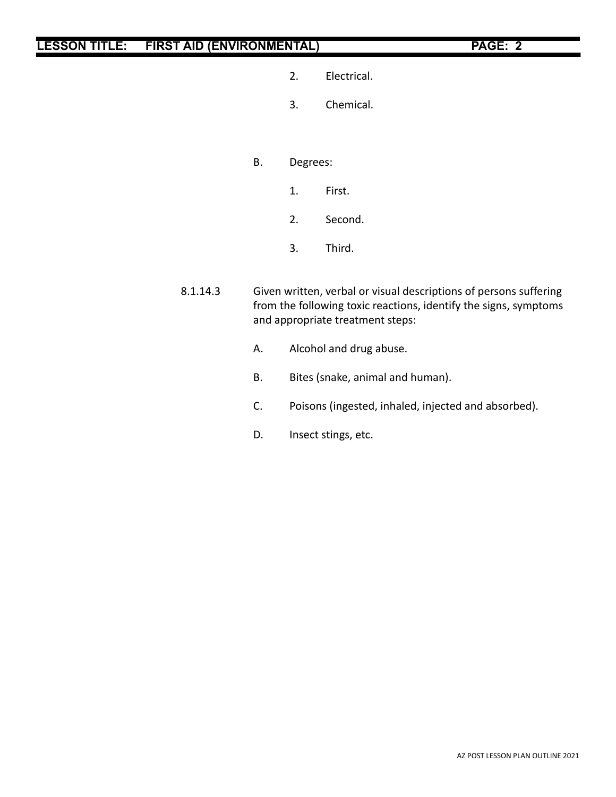- 2. Electrical.
- 3. Chemical.
- B. Degrees:
	- 1. First.
	- 2. Second.
	- 3. Third.
- 8.1.14.3 Given written, verbal or visual descriptions of persons suffering from the following toxic reactions, identify the signs, symptoms and appropriate treatment steps:
	- A. Alcohol and drug abuse.
	- B. Bites (snake, animal and human).
	- C. Poisons (ingested, inhaled, injected and absorbed).
	- D. Insect stings, etc.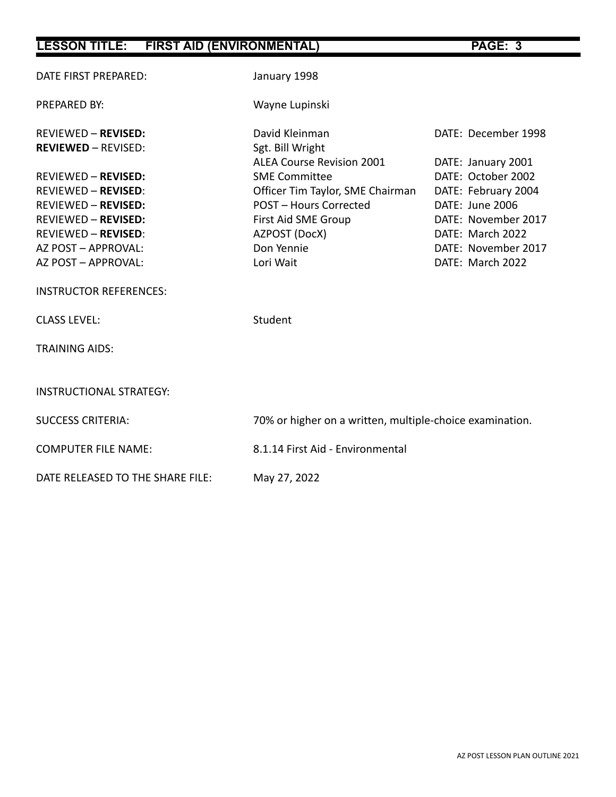| DATE FIRST PREPARED:                                     | January 1998                                             |                     |  |
|----------------------------------------------------------|----------------------------------------------------------|---------------------|--|
| PREPARED BY:                                             | Wayne Lupinski                                           |                     |  |
| <b>REVIEWED - REVISED:</b><br><b>REVIEWED - REVISED:</b> | David Kleinman<br>Sgt. Bill Wright                       | DATE: December 1998 |  |
|                                                          | <b>ALEA Course Revision 2001</b>                         | DATE: January 2001  |  |
| <b>REVIEWED - REVISED:</b>                               | <b>SME Committee</b>                                     | DATE: October 2002  |  |
| <b>REVIEWED - REVISED:</b>                               | Officer Tim Taylor, SME Chairman                         | DATE: February 2004 |  |
| <b>REVIEWED - REVISED:</b>                               | <b>POST - Hours Corrected</b>                            | DATE: June 2006     |  |
| <b>REVIEWED - REVISED:</b>                               | First Aid SME Group                                      | DATE: November 2017 |  |
| <b>REVIEWED - REVISED:</b>                               | AZPOST (DocX)                                            | DATE: March 2022    |  |
| AZ POST - APPROVAL:                                      | Don Yennie                                               | DATE: November 2017 |  |
| AZ POST - APPROVAL:                                      | Lori Wait                                                | DATE: March 2022    |  |
| <b>INSTRUCTOR REFERENCES:</b>                            |                                                          |                     |  |
| <b>CLASS LEVEL:</b>                                      | Student                                                  |                     |  |
| <b>TRAINING AIDS:</b>                                    |                                                          |                     |  |
| <b>INSTRUCTIONAL STRATEGY:</b>                           |                                                          |                     |  |
| <b>SUCCESS CRITERIA:</b>                                 | 70% or higher on a written, multiple-choice examination. |                     |  |
| <b>COMPUTER FILE NAME:</b>                               | 8.1.14 First Aid - Environmental                         |                     |  |
| DATE RELEASED TO THE SHARE FILE:                         | May 27, 2022                                             |                     |  |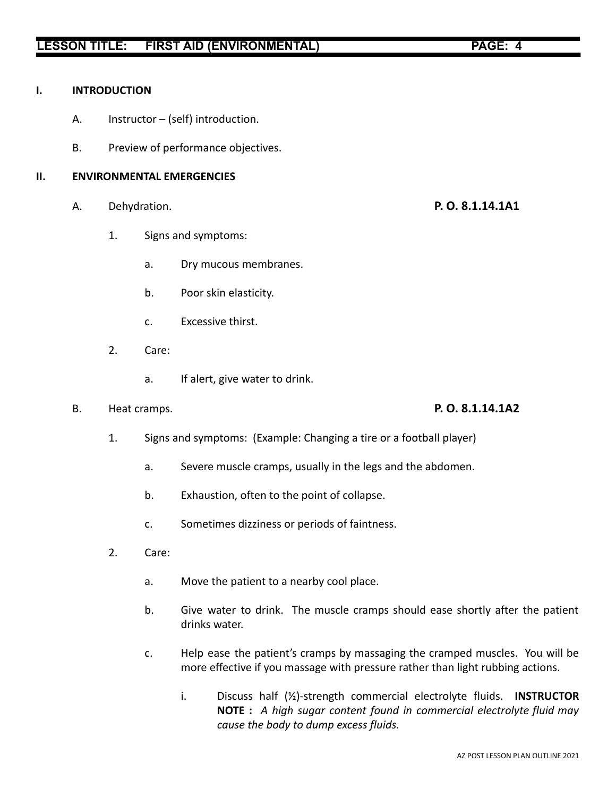### **I. INTRODUCTION**

- A. Instructor (self) introduction.
- B. Preview of performance objectives.

### **II. ENVIRONMENTAL EMERGENCIES**

- A. Dehydration. **P. O. 8.1.14.1A1**
	- 1. Signs and symptoms:
		- a. Dry mucous membranes.
		- b. Poor skin elasticity.
		- c. Excessive thirst.
	- 2. Care:
		- a. If alert, give water to drink.
- B. Heat cramps. **P. O. 8.1.14.1A2**

- 1. Signs and symptoms: (Example: Changing a tire or a football player)
	- a. Severe muscle cramps, usually in the legs and the abdomen.
	- b. Exhaustion, often to the point of collapse.
	- c. Sometimes dizziness or periods of faintness.
- 2. Care:
	- a. Move the patient to a nearby cool place.
	- b. Give water to drink. The muscle cramps should ease shortly after the patient drinks water.
	- c. Help ease the patient's cramps by massaging the cramped muscles. You will be more effective if you massage with pressure rather than light rubbing actions.
		- i. Discuss half (½)-strength commercial electrolyte fluids. **INSTRUCTOR NOTE :** *A high sugar content found in commercial electrolyte fluid may cause the body to dump excess fluids.*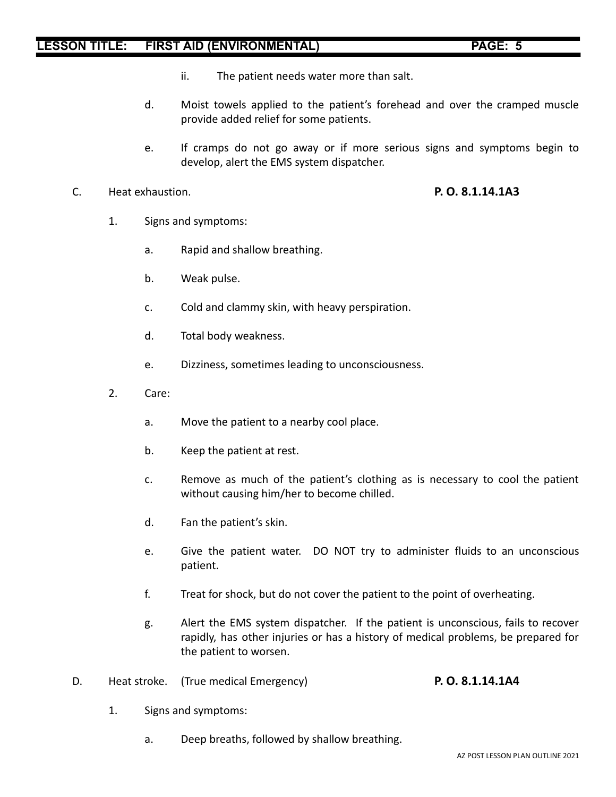- ii. The patient needs water more than salt.
- d. Moist towels applied to the patient's forehead and over the cramped muscle provide added relief for some patients.
- e. If cramps do not go away or if more serious signs and symptoms begin to develop, alert the EMS system dispatcher.
- C. Heat exhaustion. **P. O. 8.1.14.1A3**

- 1. Signs and symptoms:
	- a. Rapid and shallow breathing.
	- b. Weak pulse.
	- c. Cold and clammy skin, with heavy perspiration.
	- d. Total body weakness.
	- e. Dizziness, sometimes leading to unconsciousness.
- 2. Care:
	- a. Move the patient to a nearby cool place.
	- b. Keep the patient at rest.
	- c. Remove as much of the patient's clothing as is necessary to cool the patient without causing him/her to become chilled.
	- d. Fan the patient's skin.
	- e. Give the patient water. DO NOT try to administer fluids to an unconscious patient.
	- f. Treat for shock, but do not cover the patient to the point of overheating.
	- g. Alert the EMS system dispatcher. If the patient is unconscious, fails to recover rapidly, has other injuries or has a history of medical problems, be prepared for the patient to worsen.
- D. Heat stroke. (True medical Emergency) **P. O. 8.1.14.1A4**
	- 1. Signs and symptoms:
		- a. Deep breaths, followed by shallow breathing.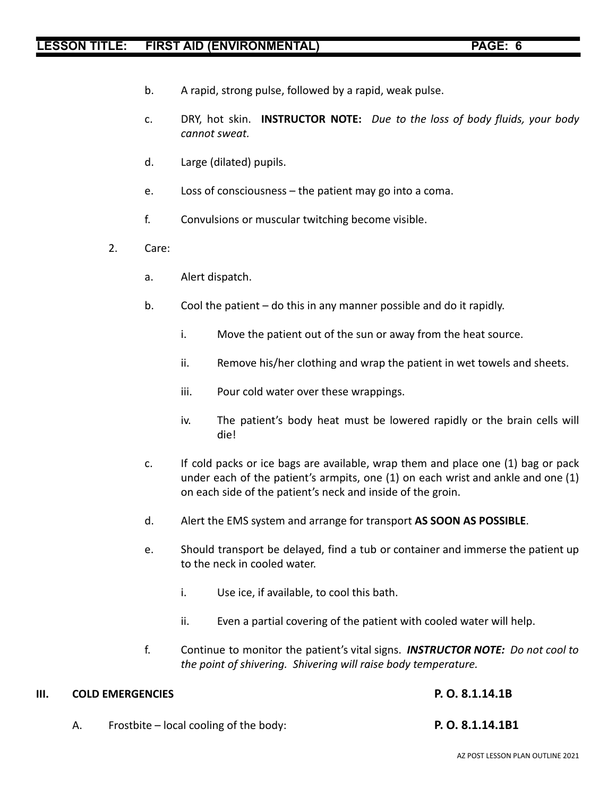- b. A rapid, strong pulse, followed by a rapid, weak pulse.
- c. DRY, hot skin. **INSTRUCTOR NOTE:** *Due to the loss of body fluids, your body cannot sweat.*
- d. Large (dilated) pupils.
- e. Loss of consciousness the patient may go into a coma.
- f. Convulsions or muscular twitching become visible.
- 2. Care:
	- a. Alert dispatch.
	- b. Cool the patient do this in any manner possible and do it rapidly.
		- i. Move the patient out of the sun or away from the heat source.
		- ii. Remove his/her clothing and wrap the patient in wet towels and sheets.
		- iii. Pour cold water over these wrappings.
		- iv. The patient's body heat must be lowered rapidly or the brain cells will die!
	- c. If cold packs or ice bags are available, wrap them and place one (1) bag or pack under each of the patient's armpits, one (1) on each wrist and ankle and one (1) on each side of the patient's neck and inside of the groin.
	- d. Alert the EMS system and arrange for transport **AS SOON AS POSSIBLE**.
	- e. Should transport be delayed, find a tub or container and immerse the patient up to the neck in cooled water.
		- i. Use ice, if available, to cool this bath.
		- ii. Even a partial covering of the patient with cooled water will help.
	- f. Continue to monitor the patient's vital signs. *INSTRUCTOR NOTE: Do not cool to the point of shivering. Shivering will raise body temperature.*

### **III. COLD EMERGENCIES P. O. 8.1.14.1B**

- 
- A. Frostbite local cooling of the body: **P. O. 8.1.14.1B1**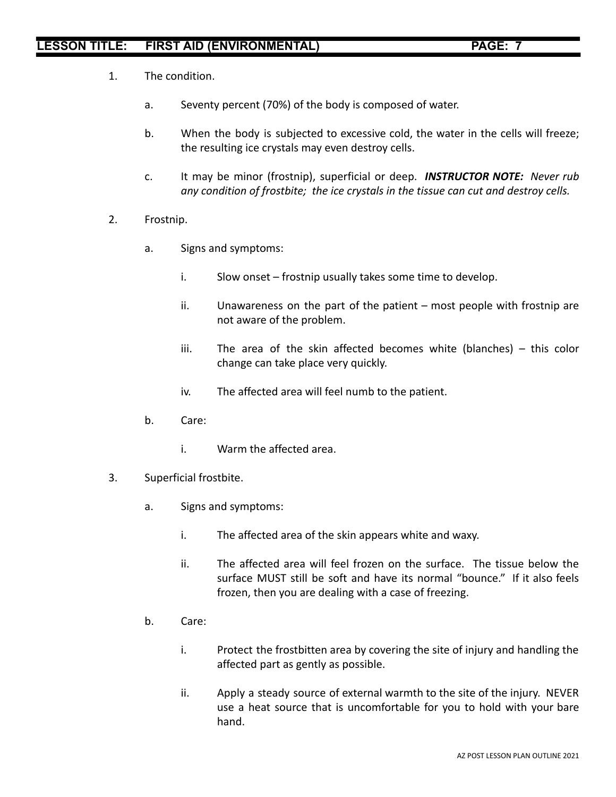- 1. The condition.
	- a. Seventy percent (70%) of the body is composed of water.
	- b. When the body is subjected to excessive cold, the water in the cells will freeze; the resulting ice crystals may even destroy cells.
	- c. It may be minor (frostnip), superficial or deep. *INSTRUCTOR NOTE: Never rub any condition of frostbite; the ice crystals in the tissue can cut and destroy cells.*
- 2. Frostnip.
	- a. Signs and symptoms:
		- i. Slow onset frostnip usually takes some time to develop.
		- ii. Unawareness on the part of the patient most people with frostnip are not aware of the problem.
		- iii. The area of the skin affected becomes white (blanches) this color change can take place very quickly.
		- iv. The affected area will feel numb to the patient.
	- b. Care:
		- i. Warm the affected area.
- 3. Superficial frostbite.
	- a. Signs and symptoms:
		- i. The affected area of the skin appears white and waxy.
		- ii. The affected area will feel frozen on the surface. The tissue below the surface MUST still be soft and have its normal "bounce." If it also feels frozen, then you are dealing with a case of freezing.
	- b. Care:
		- i. Protect the frostbitten area by covering the site of injury and handling the affected part as gently as possible.
		- ii. Apply a steady source of external warmth to the site of the injury. NEVER use a heat source that is uncomfortable for you to hold with your bare hand.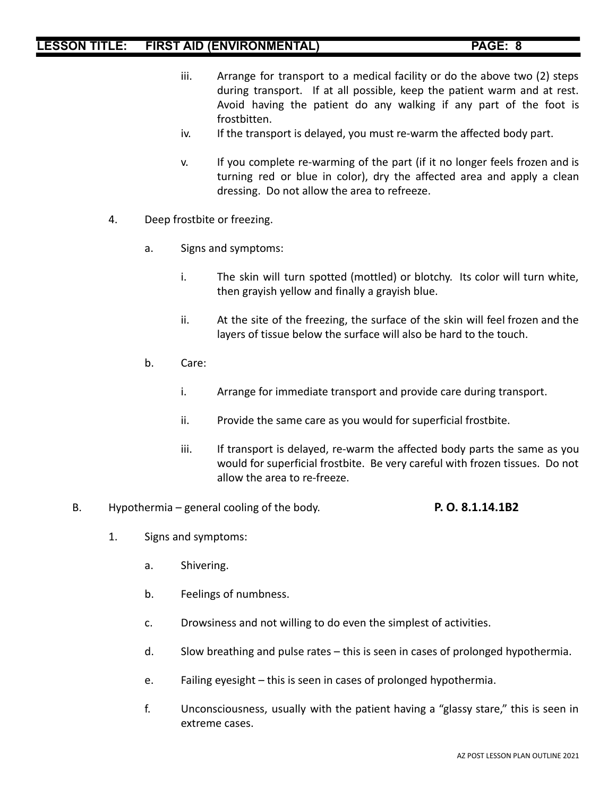- iii. Arrange for transport to a medical facility or do the above two (2) steps during transport. If at all possible, keep the patient warm and at rest. Avoid having the patient do any walking if any part of the foot is frostbitten.
- iv. If the transport is delayed, you must re-warm the affected body part.
- v. If you complete re-warming of the part (if it no longer feels frozen and is turning red or blue in color), dry the affected area and apply a clean dressing. Do not allow the area to refreeze.
- 4. Deep frostbite or freezing.
	- a. Signs and symptoms:
		- i. The skin will turn spotted (mottled) or blotchy. Its color will turn white, then grayish yellow and finally a grayish blue.
		- ii. At the site of the freezing, the surface of the skin will feel frozen and the layers of tissue below the surface will also be hard to the touch.
	- b. Care:
		- i. Arrange for immediate transport and provide care during transport.
		- ii. Provide the same care as you would for superficial frostbite.
		- iii. If transport is delayed, re-warm the affected body parts the same as you would for superficial frostbite. Be very careful with frozen tissues. Do not allow the area to re-freeze.
- B. Hypothermia general cooling of the body. **P. O. 8.1.14.1B2**
	- 1. Signs and symptoms:
		- a. Shivering.
		- b. Feelings of numbness.
		- c. Drowsiness and not willing to do even the simplest of activities.
		- d. Slow breathing and pulse rates this is seen in cases of prolonged hypothermia.
		- e. Failing eyesight this is seen in cases of prolonged hypothermia.
		- f. Unconsciousness, usually with the patient having a "glassy stare," this is seen in extreme cases.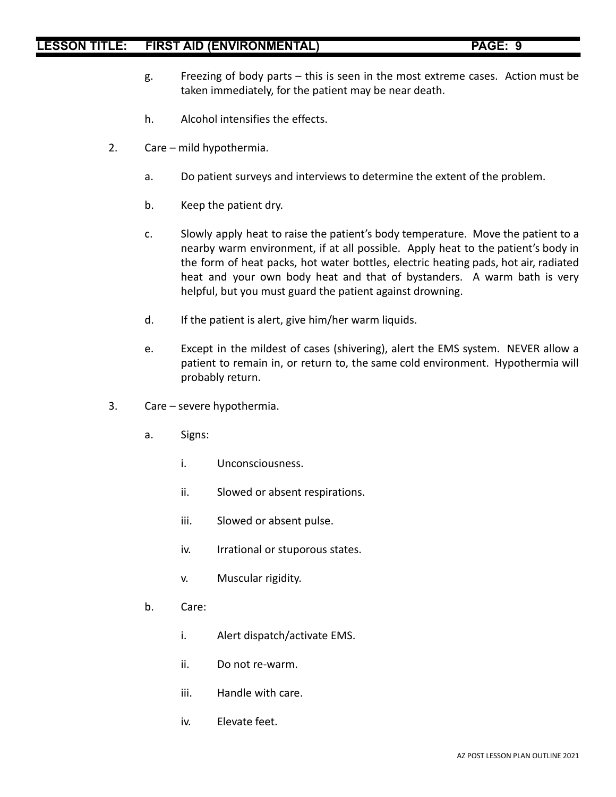- g. Freezing of body parts this is seen in the most extreme cases. Action must be taken immediately, for the patient may be near death.
- h. Alcohol intensifies the effects.
- 2. Care mild hypothermia.
	- a. Do patient surveys and interviews to determine the extent of the problem.
	- b. Keep the patient dry.
	- c. Slowly apply heat to raise the patient's body temperature. Move the patient to a nearby warm environment, if at all possible. Apply heat to the patient's body in the form of heat packs, hot water bottles, electric heating pads, hot air, radiated heat and your own body heat and that of bystanders. A warm bath is very helpful, but you must guard the patient against drowning.
	- d. If the patient is alert, give him/her warm liquids.
	- e. Except in the mildest of cases (shivering), alert the EMS system. NEVER allow a patient to remain in, or return to, the same cold environment. Hypothermia will probably return.
- 3. Care severe hypothermia.
	- a. Signs:
		- i. Unconsciousness.
		- ii. Slowed or absent respirations.
		- iii. Slowed or absent pulse.
		- iv. Irrational or stuporous states.
		- v. Muscular rigidity.
	- b. Care:
		- i. Alert dispatch/activate EMS.
		- ii. Do not re-warm.
		- iii. Handle with care.
		- iv. Elevate feet.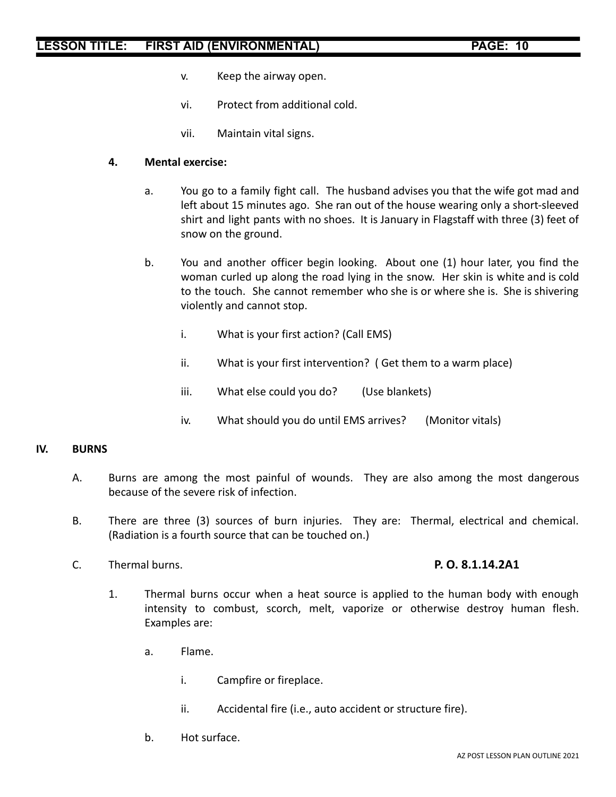- v. Keep the airway open.
- vi. Protect from additional cold.
- vii. Maintain vital signs.

### **4. Mental exercise:**

- a. You go to a family fight call. The husband advises you that the wife got mad and left about 15 minutes ago. She ran out of the house wearing only a short-sleeved shirt and light pants with no shoes. It is January in Flagstaff with three (3) feet of snow on the ground.
- b. You and another officer begin looking. About one (1) hour later, you find the woman curled up along the road lying in the snow. Her skin is white and is cold to the touch. She cannot remember who she is or where she is. She is shivering violently and cannot stop.
	- i. What is your first action? (Call EMS)
	- ii. What is your first intervention? ( Get them to a warm place)
	- iii. What else could you do? (Use blankets)
	- iv. What should you do until EMS arrives? (Monitor vitals)

### **IV. BURNS**

- A. Burns are among the most painful of wounds. They are also among the most dangerous because of the severe risk of infection.
- B. There are three (3) sources of burn injuries. They are: Thermal, electrical and chemical. (Radiation is a fourth source that can be touched on.)
- C. Thermal burns. **P. O. 8.1.14.2A1**

- 1. Thermal burns occur when a heat source is applied to the human body with enough intensity to combust, scorch, melt, vaporize or otherwise destroy human flesh. Examples are:
	- a. Flame.
		- i. Campfire or fireplace.
		- ii. Accidental fire (i.e., auto accident or structure fire).
	- b. Hot surface.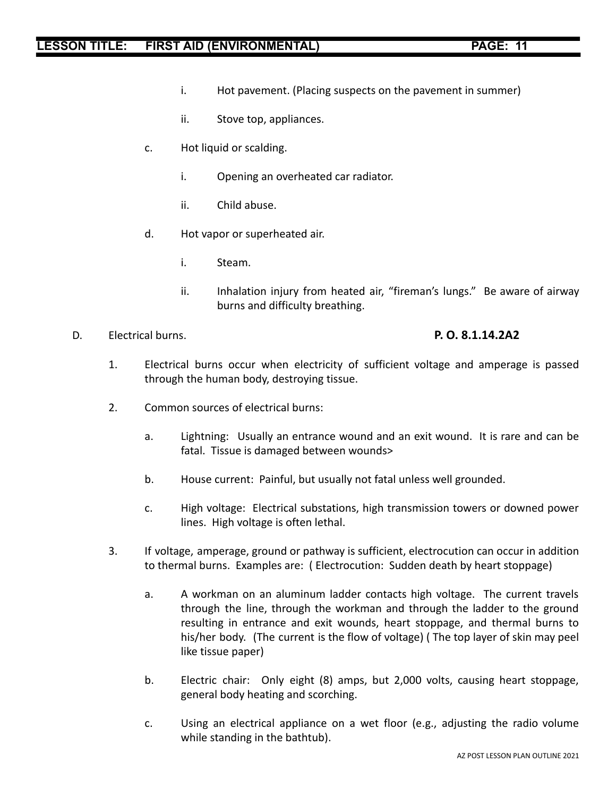- i. Hot pavement. (Placing suspects on the pavement in summer)
- ii. Stove top, appliances.
- c. Hot liquid or scalding.
	- i. Opening an overheated car radiator.
	- ii. Child abuse.
- d. Hot vapor or superheated air.
	- i. Steam.
	- ii. Inhalation injury from heated air, "fireman's lungs." Be aware of airway burns and difficulty breathing.
- D. Electrical burns. **P. O. 8.1.14.2A2**

- 1. Electrical burns occur when electricity of sufficient voltage and amperage is passed through the human body, destroying tissue.
- 2. Common sources of electrical burns:
	- a. Lightning: Usually an entrance wound and an exit wound. It is rare and can be fatal. Tissue is damaged between wounds>
	- b. House current: Painful, but usually not fatal unless well grounded.
	- c. High voltage: Electrical substations, high transmission towers or downed power lines. High voltage is often lethal.
- 3. If voltage, amperage, ground or pathway is sufficient, electrocution can occur in addition to thermal burns. Examples are: ( Electrocution: Sudden death by heart stoppage)
	- a. A workman on an aluminum ladder contacts high voltage. The current travels through the line, through the workman and through the ladder to the ground resulting in entrance and exit wounds, heart stoppage, and thermal burns to his/her body. (The current is the flow of voltage) ( The top layer of skin may peel like tissue paper)
	- b. Electric chair: Only eight (8) amps, but 2,000 volts, causing heart stoppage, general body heating and scorching.
	- c. Using an electrical appliance on a wet floor (e.g., adjusting the radio volume while standing in the bathtub).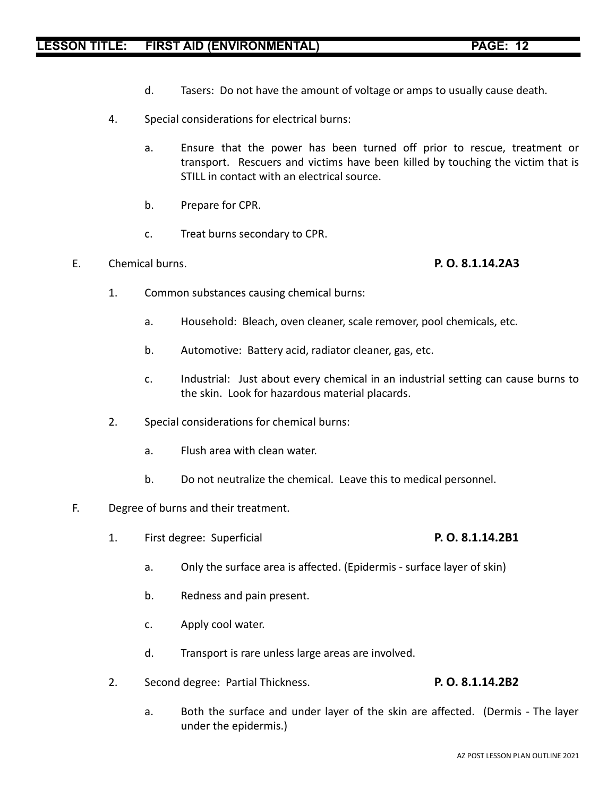- d. Tasers: Do not have the amount of voltage or amps to usually cause death.
- 4. Special considerations for electrical burns:
	- a. Ensure that the power has been turned off prior to rescue, treatment or transport. Rescuers and victims have been killed by touching the victim that is STILL in contact with an electrical source.
	- b. Prepare for CPR.
	- c. Treat burns secondary to CPR.
- E. Chemical burns. **P. O. 8.1.14.2A3**

- 1. Common substances causing chemical burns:
	- a. Household: Bleach, oven cleaner, scale remover, pool chemicals, etc.
	- b. Automotive: Battery acid, radiator cleaner, gas, etc.
	- c. Industrial: Just about every chemical in an industrial setting can cause burns to the skin. Look for hazardous material placards.
- 2. Special considerations for chemical burns:
	- a. Flush area with clean water.
	- b. Do not neutralize the chemical. Leave this to medical personnel.
- F. Degree of burns and their treatment.
	- 1. First degree: Superficial **P. O. 8.1.14.2B1**
		- a. Only the surface area is affected. (Epidermis surface layer of skin)
		- b. Redness and pain present.
		- c. Apply cool water.
		- d. Transport is rare unless large areas are involved.
	- 2. Second degree: Partial Thickness. **P. O. 8.1.14.2B2**
		- a. Both the surface and under layer of the skin are affected. (Dermis The layer under the epidermis.)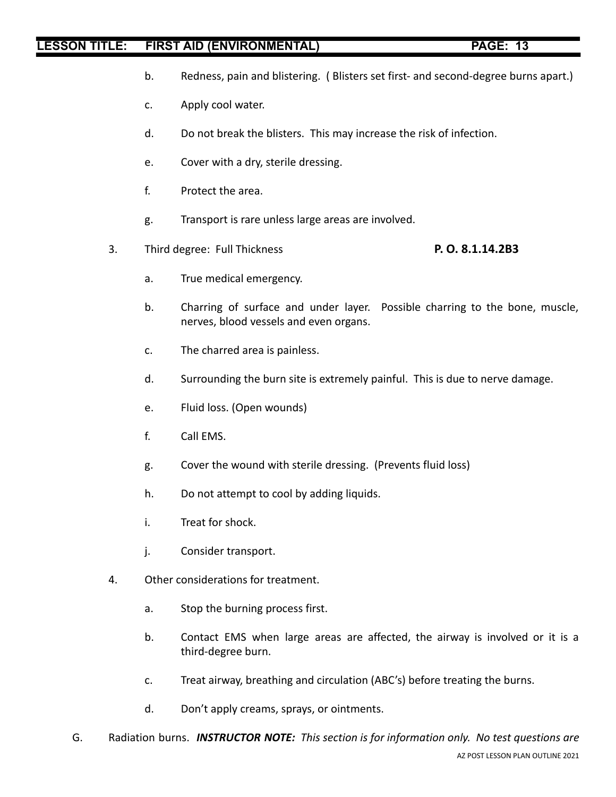- b. Redness, pain and blistering. ( Blisters set first- and second-degree burns apart.)
- c. Apply cool water.
- d. Do not break the blisters. This may increase the risk of infection.
- e. Cover with a dry, sterile dressing.
- f. Protect the area.
- g. Transport is rare unless large areas are involved.
- 3. Third degree: Full Thickness **P. O. 8.1.14.2B3**
	- a. True medical emergency.
	- b. Charring of surface and under layer. Possible charring to the bone, muscle, nerves, blood vessels and even organs.
	- c. The charred area is painless.
	- d. Surrounding the burn site is extremely painful. This is due to nerve damage.
	- e. Fluid loss. (Open wounds)
	- f. Call EMS.
	- g. Cover the wound with sterile dressing. (Prevents fluid loss)
	- h. Do not attempt to cool by adding liquids.
	- i. Treat for shock.
	- j. Consider transport.
- 4. Other considerations for treatment.
	- a. Stop the burning process first.
	- b. Contact EMS when large areas are affected, the airway is involved or it is a third-degree burn.
	- c. Treat airway, breathing and circulation (ABC's) before treating the burns.
	- d. Don't apply creams, sprays, or ointments.
- G. Radiation burns. *INSTRUCTOR NOTE: This section is for information only. No test questions are* AZ POST LESSON PLAN OUTLINE 2021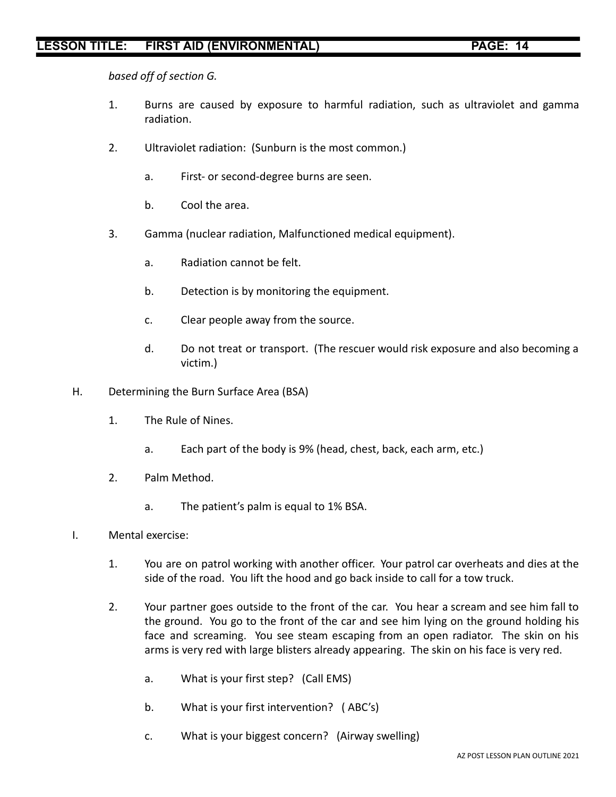*based off of section G.*

- 1. Burns are caused by exposure to harmful radiation, such as ultraviolet and gamma radiation.
- 2. Ultraviolet radiation: (Sunburn is the most common.)
	- a. First- or second-degree burns are seen.
	- b. Cool the area.
- 3. Gamma (nuclear radiation, Malfunctioned medical equipment).
	- a. Radiation cannot be felt.
	- b. Detection is by monitoring the equipment.
	- c. Clear people away from the source.
	- d. Do not treat or transport. (The rescuer would risk exposure and also becoming a victim.)
- H. Determining the Burn Surface Area (BSA)
	- 1. The Rule of Nines.
		- a. Each part of the body is 9% (head, chest, back, each arm, etc.)
	- 2. Palm Method.
		- a. The patient's palm is equal to 1% BSA.
- I. Mental exercise:
	- 1. You are on patrol working with another officer. Your patrol car overheats and dies at the side of the road. You lift the hood and go back inside to call for a tow truck.
	- 2. Your partner goes outside to the front of the car. You hear a scream and see him fall to the ground. You go to the front of the car and see him lying on the ground holding his face and screaming. You see steam escaping from an open radiator. The skin on his arms is very red with large blisters already appearing. The skin on his face is very red.
		- a. What is your first step? (Call EMS)
		- b. What is your first intervention? ( ABC's)
		- c. What is your biggest concern? (Airway swelling)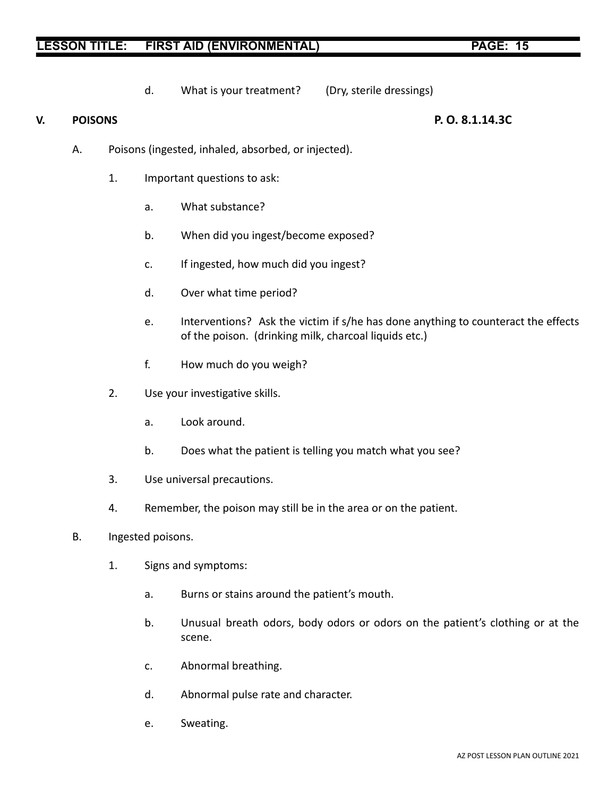d. What is your treatment? (Dry, sterile dressings)

### **V. POISONS P. O. 8.1.14.3C**

- A. Poisons (ingested, inhaled, absorbed, or injected).
	- 1. Important questions to ask:
		- a. What substance?
		- b. When did you ingest/become exposed?
		- c. If ingested, how much did you ingest?
		- d. Over what time period?
		- e. Interventions? Ask the victim if s/he has done anything to counteract the effects of the poison. (drinking milk, charcoal liquids etc.)
		- f. How much do you weigh?
	- 2. Use your investigative skills.
		- a. Look around.
		- b. Does what the patient is telling you match what you see?
	- 3. Use universal precautions.
	- 4. Remember, the poison may still be in the area or on the patient.
- B. Ingested poisons.
	- 1. Signs and symptoms:
		- a. Burns or stains around the patient's mouth.
		- b. Unusual breath odors, body odors or odors on the patient's clothing or at the scene.
		- c. Abnormal breathing.
		- d. Abnormal pulse rate and character.
		- e. Sweating.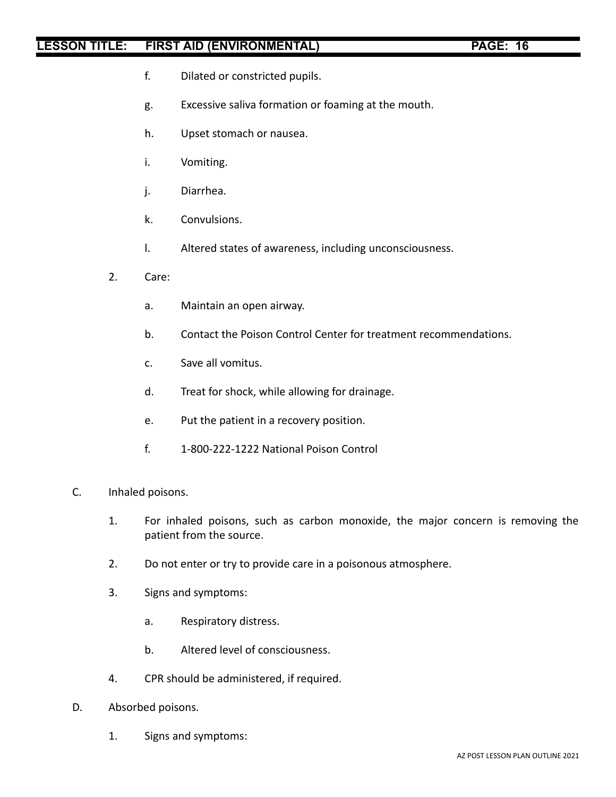- f. Dilated or constricted pupils.
- g. Excessive saliva formation or foaming at the mouth.
- h. Upset stomach or nausea.
- i. Vomiting.
- j. Diarrhea.
- k. Convulsions.
- l. Altered states of awareness, including unconsciousness.
- 2. Care:
	- a. Maintain an open airway.
	- b. Contact the Poison Control Center for treatment recommendations.
	- c. Save all vomitus.
	- d. Treat for shock, while allowing for drainage.
	- e. Put the patient in a recovery position.
	- f. 1-800-222-1222 National Poison Control
- C. Inhaled poisons.
	- 1. For inhaled poisons, such as carbon monoxide, the major concern is removing the patient from the source.
	- 2. Do not enter or try to provide care in a poisonous atmosphere.
	- 3. Signs and symptoms:
		- a. Respiratory distress.
		- b. Altered level of consciousness.
	- 4. CPR should be administered, if required.
- D. Absorbed poisons.
	- 1. Signs and symptoms: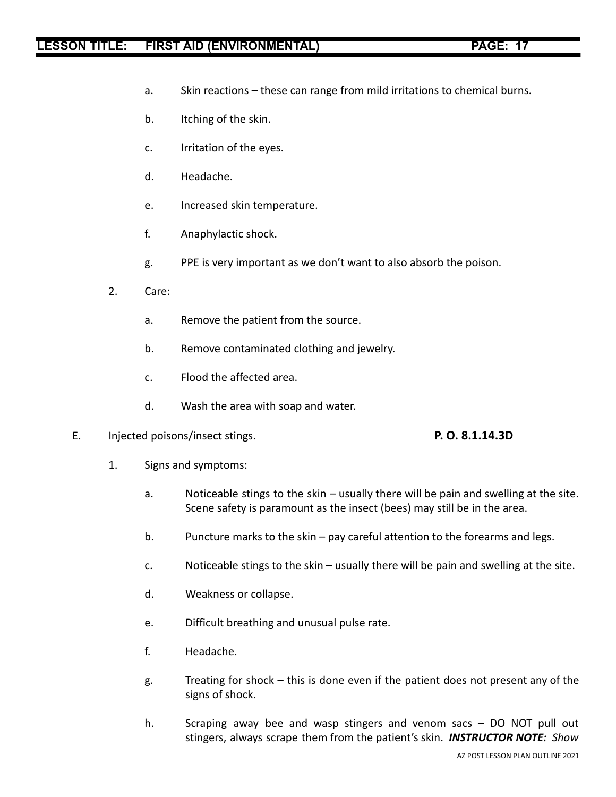- a. Skin reactions these can range from mild irritations to chemical burns.
- b. Itching of the skin.
- c. Irritation of the eyes.
- d. Headache.
- e. Increased skin temperature.
- f. Anaphylactic shock.
- g. PPE is very important as we don't want to also absorb the poison.
- 2. Care:
	- a. Remove the patient from the source.
	- b. Remove contaminated clothing and jewelry.
	- c. Flood the affected area.
	- d. Wash the area with soap and water.
- E. Injected poisons/insect stings. **P. O. 8.1.14.3D**

- 1. Signs and symptoms:
	- a. Noticeable stings to the skin usually there will be pain and swelling at the site. Scene safety is paramount as the insect (bees) may still be in the area.
	- b. Puncture marks to the skin pay careful attention to the forearms and legs.
	- c. Noticeable stings to the skin usually there will be pain and swelling at the site.
	- d. Weakness or collapse.
	- e. Difficult breathing and unusual pulse rate.
	- f. Headache.
	- g. Treating for shock this is done even if the patient does not present any of the signs of shock.
	- h. Scraping away bee and wasp stingers and venom sacs DO NOT pull out stingers, always scrape them from the patient's skin. *INSTRUCTOR NOTE: Show*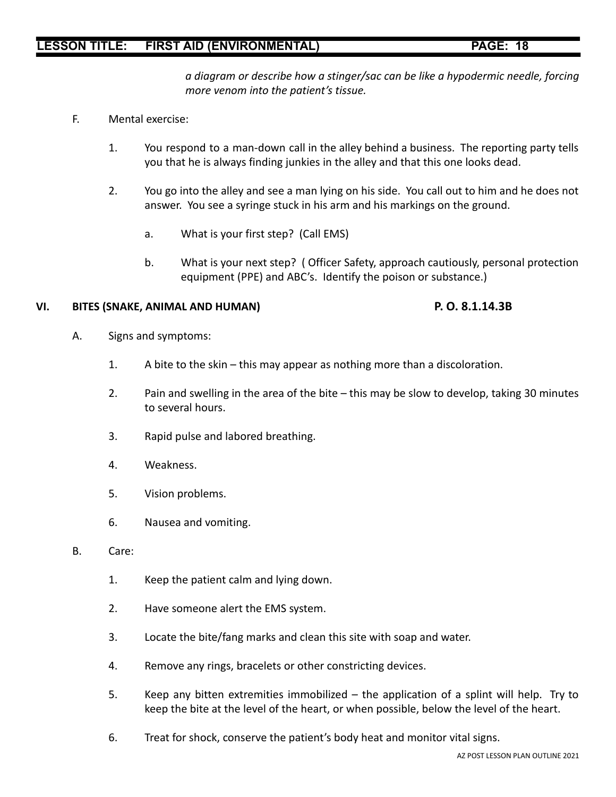*a diagram or describe how a stinger/sac can be like a hypodermic needle, forcing more venom into the patient's tissue.*

- F. Mental exercise:
	- 1. You respond to a man-down call in the alley behind a business. The reporting party tells you that he is always finding junkies in the alley and that this one looks dead.
	- 2. You go into the alley and see a man lying on his side. You call out to him and he does not answer. You see a syringe stuck in his arm and his markings on the ground.
		- a. What is your first step? (Call EMS)
		- b. What is your next step? ( Officer Safety, approach cautiously, personal protection equipment (PPE) and ABC's. Identify the poison or substance.)

### **VI. BITES (SNAKE, ANIMAL AND HUMAN) P. O. 8.1.14.3B**

- A. Signs and symptoms:
	- 1. A bite to the skin this may appear as nothing more than a discoloration.
	- 2. Pain and swelling in the area of the bite this may be slow to develop, taking 30 minutes to several hours.
	- 3. Rapid pulse and labored breathing.
	- 4. Weakness.
	- 5. Vision problems.
	- 6. Nausea and vomiting.
- B. Care:
	- 1. Keep the patient calm and lying down.
	- 2. Have someone alert the EMS system.
	- 3. Locate the bite/fang marks and clean this site with soap and water.
	- 4. Remove any rings, bracelets or other constricting devices.
	- 5. Keep any bitten extremities immobilized the application of a splint will help. Try to keep the bite at the level of the heart, or when possible, below the level of the heart.
	- 6. Treat for shock, conserve the patient's body heat and monitor vital signs.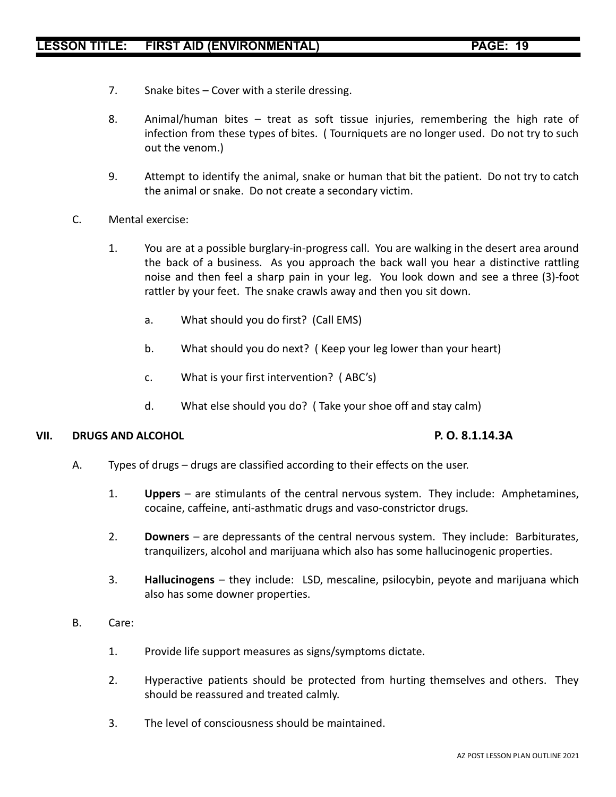- 7. Snake bites Cover with a sterile dressing.
- 8. Animal/human bites treat as soft tissue injuries, remembering the high rate of infection from these types of bites. ( Tourniquets are no longer used. Do not try to such out the venom.)
- 9. Attempt to identify the animal, snake or human that bit the patient. Do not try to catch the animal or snake. Do not create a secondary victim.
- C. Mental exercise:
	- 1. You are at a possible burglary-in-progress call. You are walking in the desert area around the back of a business. As you approach the back wall you hear a distinctive rattling noise and then feel a sharp pain in your leg. You look down and see a three (3)-foot rattler by your feet. The snake crawls away and then you sit down.
		- a. What should you do first? (Call EMS)
		- b. What should you do next? ( Keep your leg lower than your heart)
		- c. What is your first intervention? ( ABC's)
		- d. What else should you do? ( Take your shoe off and stay calm)

### **VII. DRUGS AND ALCOHOL P. O. 8.1.14.3A**

- A. Types of drugs drugs are classified according to their effects on the user.
	- 1. **Uppers** are stimulants of the central nervous system. They include: Amphetamines, cocaine, caffeine, anti-asthmatic drugs and vaso-constrictor drugs.
	- 2. **Downers** are depressants of the central nervous system. They include: Barbiturates, tranquilizers, alcohol and marijuana which also has some hallucinogenic properties.
	- 3. **Hallucinogens** they include: LSD, mescaline, psilocybin, peyote and marijuana which also has some downer properties.
- B. Care:
	- 1. Provide life support measures as signs/symptoms dictate.
	- 2. Hyperactive patients should be protected from hurting themselves and others. They should be reassured and treated calmly.
	- 3. The level of consciousness should be maintained.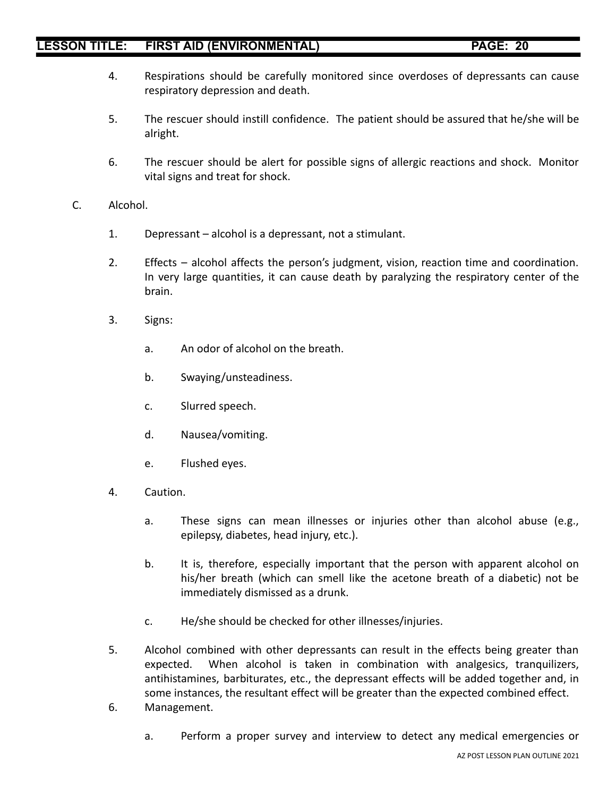- 4. Respirations should be carefully monitored since overdoses of depressants can cause respiratory depression and death.
- 5. The rescuer should instill confidence. The patient should be assured that he/she will be alright.
- 6. The rescuer should be alert for possible signs of allergic reactions and shock. Monitor vital signs and treat for shock.
- C. Alcohol.
	- 1. Depressant alcohol is a depressant, not a stimulant.
	- 2. Effects alcohol affects the person's judgment, vision, reaction time and coordination. In very large quantities, it can cause death by paralyzing the respiratory center of the brain.
	- 3. Signs:
		- a. An odor of alcohol on the breath.
		- b. Swaying/unsteadiness.
		- c. Slurred speech.
		- d. Nausea/vomiting.
		- e. Flushed eyes.
	- 4. Caution.
		- a. These signs can mean illnesses or injuries other than alcohol abuse (e.g., epilepsy, diabetes, head injury, etc.).
		- b. It is, therefore, especially important that the person with apparent alcohol on his/her breath (which can smell like the acetone breath of a diabetic) not be immediately dismissed as a drunk.
		- c. He/she should be checked for other illnesses/injuries.
	- 5. Alcohol combined with other depressants can result in the effects being greater than expected. When alcohol is taken in combination with analgesics, tranquilizers, antihistamines, barbiturates, etc., the depressant effects will be added together and, in some instances, the resultant effect will be greater than the expected combined effect.
	- 6. Management.
		- a. Perform a proper survey and interview to detect any medical emergencies or